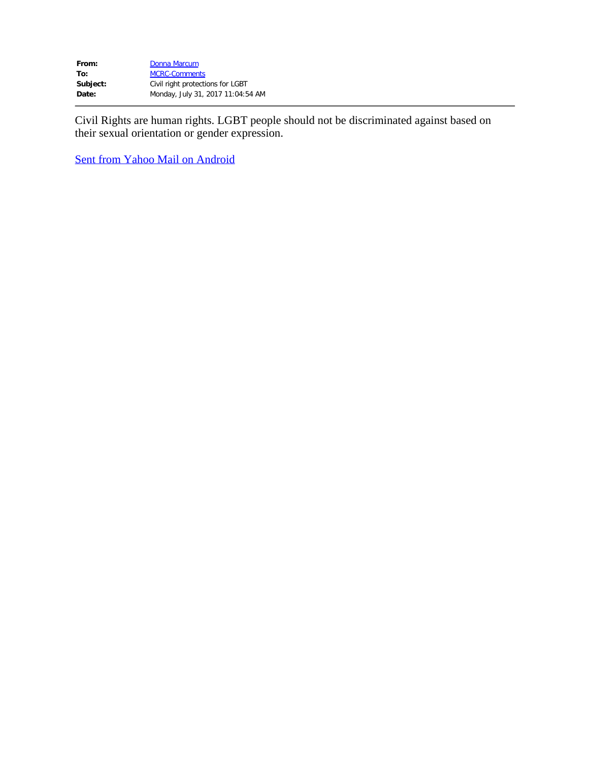| From:    | Donna Marcum                      |
|----------|-----------------------------------|
| To:      | <b>MCRC-Comments</b>              |
| Subject: | Civil right protections for LGBT  |
| Date:    | Monday, July 31, 2017 11:04:54 AM |

Civil Rights are human rights. LGBT people should not be discriminated against based on their sexual orientation or gender expression.

Sent from Yahoo Mail on Android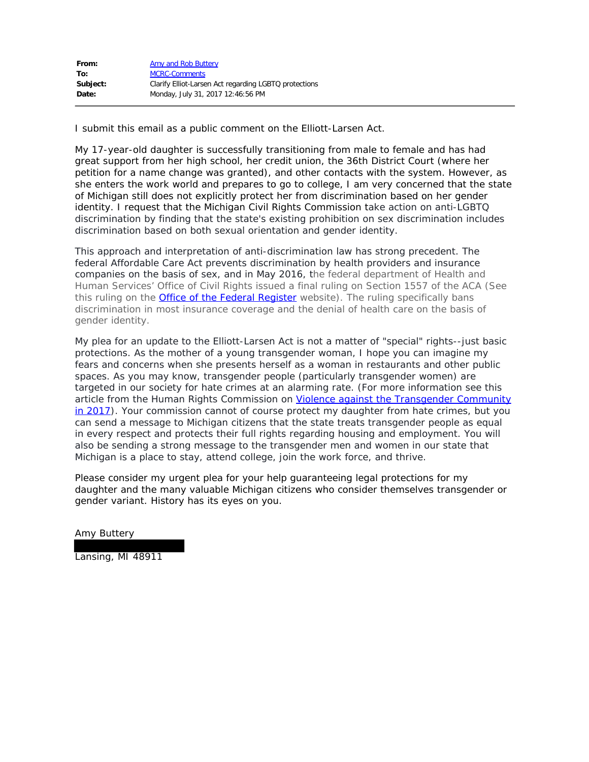| From:    | Amy and Rob Buttery                                   |
|----------|-------------------------------------------------------|
| To:      | <b>MCRC-Comments</b>                                  |
| Subject: | Clarify Elliot-Larsen Act regarding LGBTQ protections |
| Date:    | Monday, July 31, 2017 12:46:56 PM                     |

I submit this email as a public comment on the Elliott-Larsen Act.

My 17-year-old daughter is successfully transitioning from male to female and has had great support from her high school, her credit union, the 36th District Court (where her petition for a name change was granted), and other contacts with the system. However, as she enters the work world and prepares to go to college, I am very concerned that the state of Michigan still does not explicitly protect her from discrimination based on her gender identity. I request that the Michigan Civil Rights Commission take action on anti-LGBTQ discrimination by finding that the state's existing prohibition on sex discrimination includes discrimination based on both sexual orientation and gender identity.

This approach and interpretation of anti-discrimination law has strong precedent. The federal Affordable Care Act prevents discrimination by health providers and insurance companies on the basis of sex, and in May 2016, the federal department of Health and Human Services' Office of Civil Rights issued a final ruling on Section 1557 of the ACA (See this ruling on the **Office of the Federal Register** website). The ruling specifically bans discrimination in most insurance coverage and the denial of health care on the basis of gender identity.

My plea for an update to the Elliott-Larsen Act is not a matter of "special" rights--just basic protections. As the mother of a young transgender woman, I hope you can imagine my fears and concerns when she presents herself as a woman in restaurants and other public spaces. As you may know, transgender people (particularly transgender women) are targeted in our society for hate crimes at an alarming rate. (For more information see this article from the Human Rights Commission on Violence against the Transgender Community in 2017). Your commission cannot of course protect my daughter from hate crimes, but you can send a message to Michigan citizens that the state treats transgender people as equal in every respect and protects their full rights regarding housing and employment. You will also be sending a strong message to the transgender men and women in our state that Michigan is a place to stay, attend college, join the work force, and thrive.

Please consider my urgent plea for your help guaranteeing legal protections for my daughter and the many valuable Michigan citizens who consider themselves transgender or gender variant. History has its eyes on you.

Amy Buttery

Lansing, MI 48911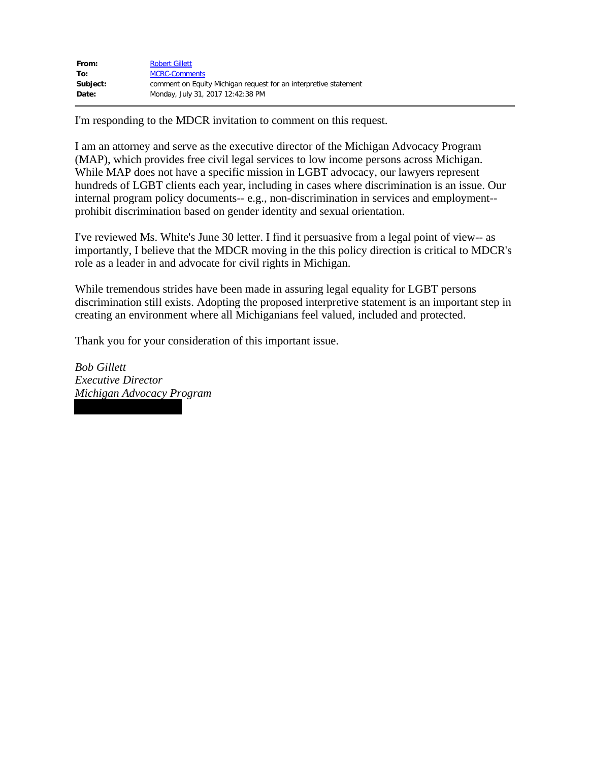| From:    | <b>Robert Gillett</b>                                            |
|----------|------------------------------------------------------------------|
| To:      | <b>MCRC-Comments</b>                                             |
| Subject: | comment on Equity Michigan request for an interpretive statement |
| Date:    | Monday, July 31, 2017 12:42:38 PM                                |

I'm responding to the MDCR invitation to comment on this request.

I am an attorney and serve as the executive director of the Michigan Advocacy Program (MAP), which provides free civil legal services to low income persons across Michigan. While MAP does not have a specific mission in LGBT advocacy, our lawyers represent hundreds of LGBT clients each year, including in cases where discrimination is an issue. Our internal program policy documents-- e.g., non-discrimination in services and employment- prohibit discrimination based on gender identity and sexual orientation.

I've reviewed Ms. White's June 30 letter. I find it persuasive from a legal point of view-- as importantly, I believe that the MDCR moving in the this policy direction is critical to MDCR's role as a leader in and advocate for civil rights in Michigan.

While tremendous strides have been made in assuring legal equality for LGBT persons discrimination still exists. Adopting the proposed interpretive statement is an important step in creating an environment where all Michiganians feel valued, included and protected.

Thank you for your consideration of this important issue.

*Bob Gillett Executive Director Michigan Advocacy Program*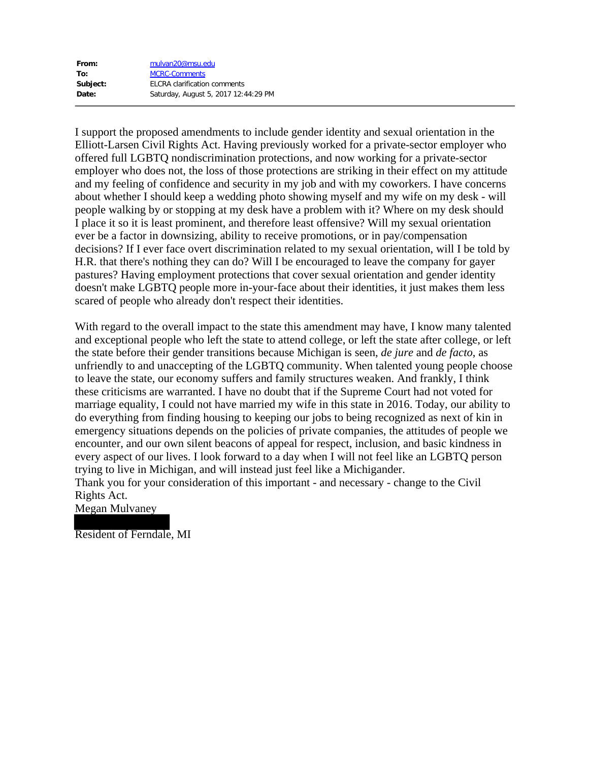| From:    | mulvan20@msu.edu                     |
|----------|--------------------------------------|
| To:      | <b>MCRC-Comments</b>                 |
| Subject: | <b>ELCRA</b> clarification comments  |
| Date:    | Saturday, August 5, 2017 12:44:29 PM |

I support the proposed amendments to include gender identity and sexual orientation in the Elliott-Larsen Civil Rights Act. Having previously worked for a private-sector employer who offered full LGBTQ nondiscrimination protections, and now working for a private-sector employer who does not, the loss of those protections are striking in their effect on my attitude and my feeling of confidence and security in my job and with my coworkers. I have concerns about whether I should keep a wedding photo showing myself and my wife on my desk - will people walking by or stopping at my desk have a problem with it? Where on my desk should I place it so it is least prominent, and therefore least offensive? Will my sexual orientation ever be a factor in downsizing, ability to receive promotions, or in pay/compensation decisions? If I ever face overt discrimination related to my sexual orientation, will I be told by H.R. that there's nothing they can do? Will I be encouraged to leave the company for gayer pastures? Having employment protections that cover sexual orientation and gender identity doesn't make LGBTQ people more in-your-face about their identities, it just makes them less scared of people who already don't respect their identities.

With regard to the overall impact to the state this amendment may have, I know many talented and exceptional people who left the state to attend college, or left the state after college, or left the state before their gender transitions because Michigan is seen, *de jure* and *de facto*, as unfriendly to and unaccepting of the LGBTQ community. When talented young people choose to leave the state, our economy suffers and family structures weaken. And frankly, I think these criticisms are warranted. I have no doubt that if the Supreme Court had not voted for marriage equality, I could not have married my wife in this state in 2016. Today, our ability to do everything from finding housing to keeping our jobs to being recognized as next of kin in emergency situations depends on the policies of private companies, the attitudes of people we encounter, and our own silent beacons of appeal for respect, inclusion, and basic kindness in every aspect of our lives. I look forward to a day when I will not feel like an LGBTQ person trying to live in Michigan, and will instead just feel like a Michigander.

Thank you for your consideration of this important - and necessary - change to the Civil Rights Act.

Megan Mulvaney

Resident of Ferndale, MI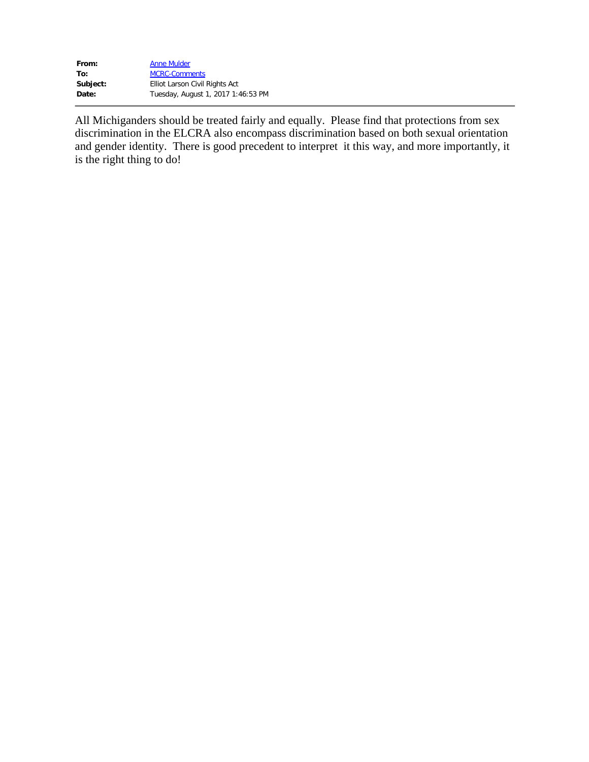| From:    | <b>Anne Mulder</b>                 |
|----------|------------------------------------|
| To:      | <b>MCRC-Comments</b>               |
| Subject: | Elliot Larson Civil Rights Act     |
| Date:    | Tuesday, August 1, 2017 1:46:53 PM |

All Michiganders should be treated fairly and equally. Please find that protections from sex discrimination in the ELCRA also encompass discrimination based on both sexual orientation and gender identity. There is good precedent to interpret it this way, and more importantly, it is the right thing to do!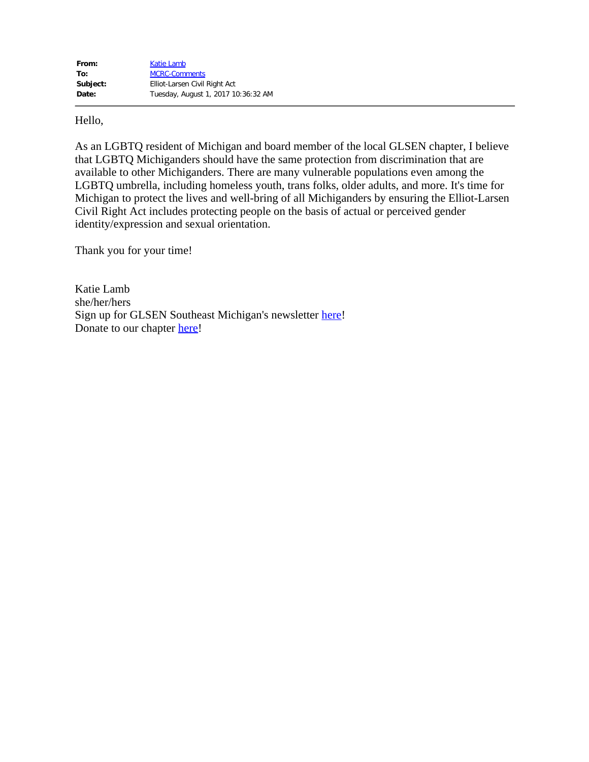Hello,

As an LGBTQ resident of Michigan and board member of the local GLSEN chapter, I believe that LGBTQ Michiganders should have the same protection from discrimination that are available to other Michiganders. There are many vulnerable populations even among the LGBTQ umbrella, including homeless youth, trans folks, older adults, and more. It's time for Michigan to protect the lives and well-bring of all Michiganders by ensuring the Elliot-Larsen Civil Right Act includes protecting people on the basis of actual or perceived gender identity/expression and sexual orientation.

Thank you for your time!

Katie Lamb she/her/hers Sign up for GLSEN Southeast Michigan's newsletter here! Donate to our chapter here!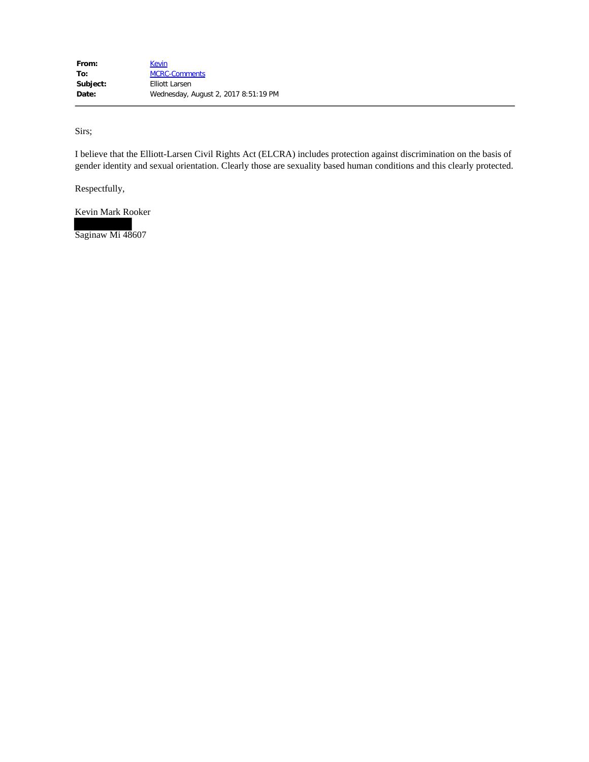Sirs;

I believe that the Elliott-Larsen Civil Rights Act (ELCRA) includes protection against discrimination on the basis of gender identity and sexual orientation. Clearly those are sexuality based human conditions and this clearly protected.

Respectfully,

Kevin Mark Rooker

Saginaw Mi 48607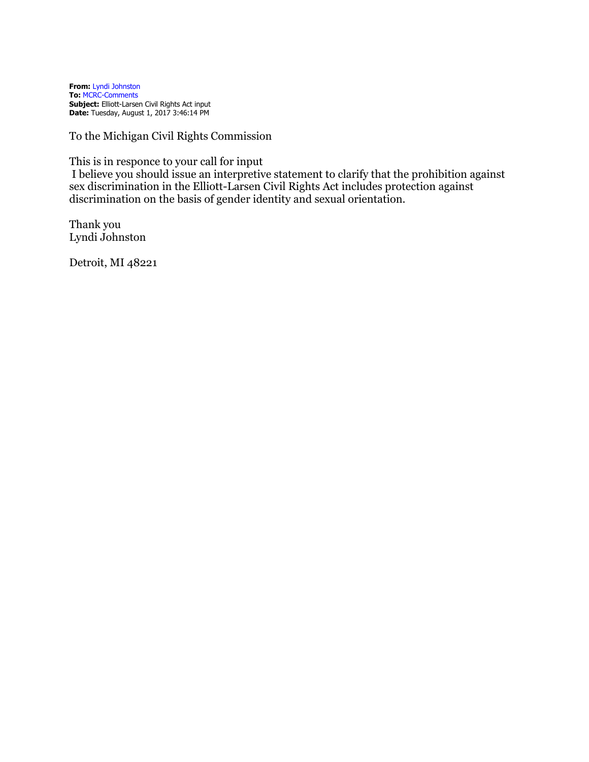**From:** Lyndi Johnston **To:** MCRC-Comments **Subject:** Elliott-Larsen Civil Rights Act input **Date:** Tuesday, August 1, 2017 3:46:14 PM

To the Michigan Civil Rights Commission

This is in responce to your call for input

I believe you should issue an interpretive statement to clarify that the prohibition against sex discrimination in the Elliott-Larsen Civil Rights Act includes protection against discrimination on the basis of gender identity and sexual orientation.

Thank you Lyndi Johnston

Detroit, MI 48221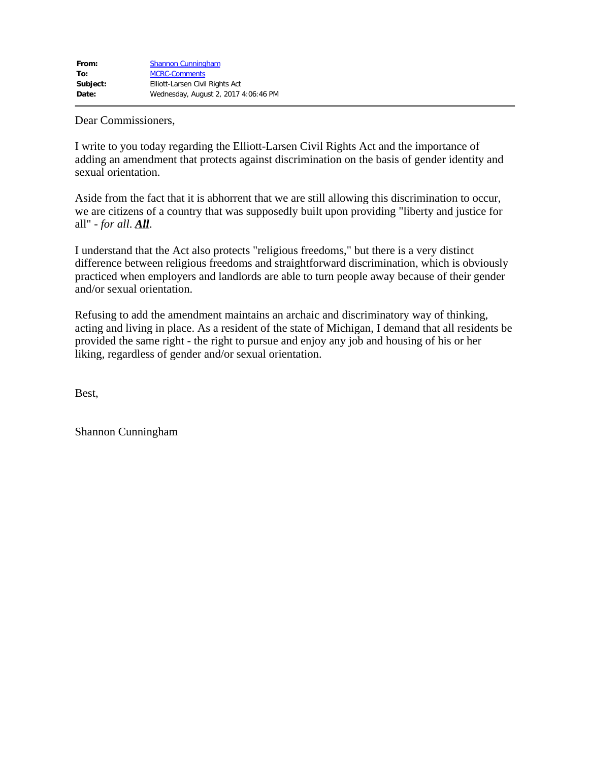Dear Commissioners,

I write to you today regarding the Elliott-Larsen Civil Rights Act and the importance of adding an amendment that protects against discrimination on the basis of gender identity and sexual orientation.

Aside from the fact that it is abhorrent that we are still allowing this discrimination to occur, we are citizens of a country that was supposedly built upon providing "liberty and justice for all" - *for all*. *All*.

I understand that the Act also protects "religious freedoms," but there is a very distinct difference between religious freedoms and straightforward discrimination, which is obviously practiced when employers and landlords are able to turn people away because of their gender and/or sexual orientation.

Refusing to add the amendment maintains an archaic and discriminatory way of thinking, acting and living in place. As a resident of the state of Michigan, I demand that all residents be provided the same right - the right to pursue and enjoy any job and housing of his or her liking, regardless of gender and/or sexual orientation.

Best,

Shannon Cunningham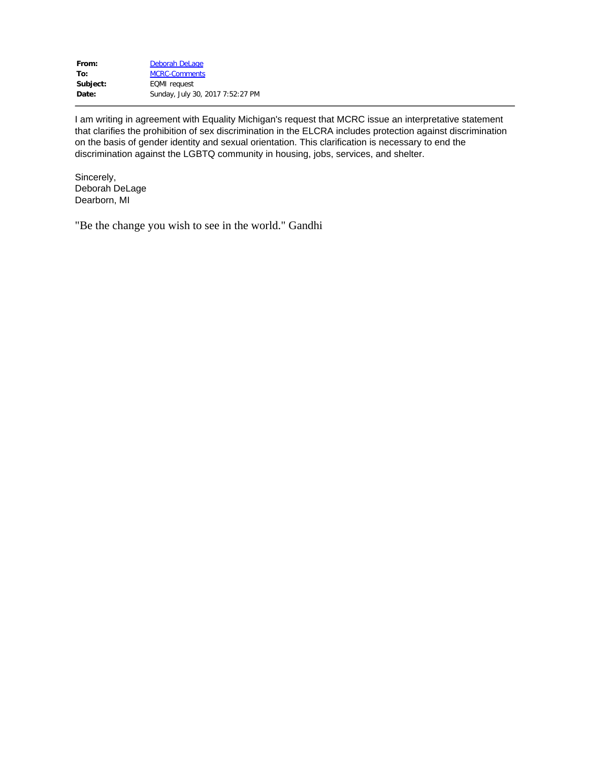| Deborah DeLage                   |
|----------------------------------|
| <b>MCRC-Comments</b>             |
| <b>EQMI</b> request              |
| Sunday, July 30, 2017 7:52:27 PM |
|                                  |

I am writing in agreement with Equality Michigan's request that MCRC issue an interpretative statement that clarifies the prohibition of sex discrimination in the ELCRA includes protection against discrimination on the basis of gender identity and sexual orientation. This clarification is necessary to end the discrimination against the LGBTQ community in housing, jobs, services, and shelter.

Sincerely, Deborah DeLage Dearborn, MI

"Be the change you wish to see in the world." Gandhi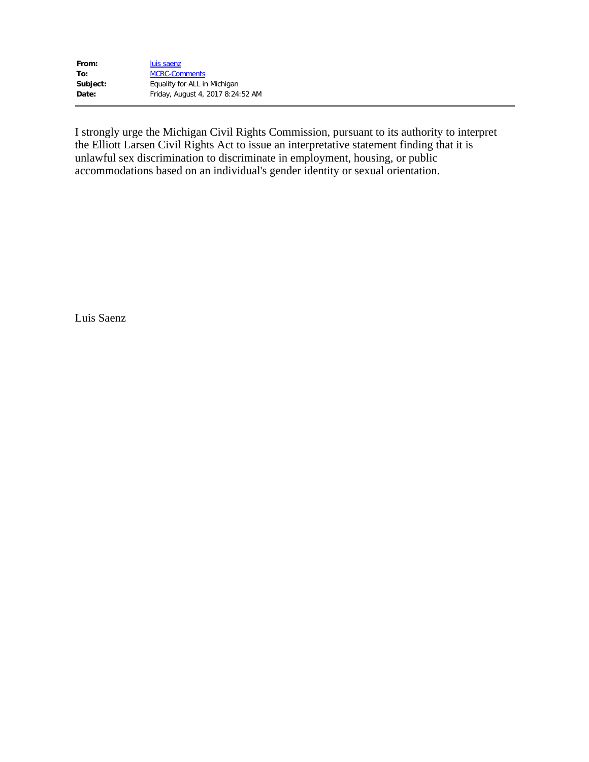| From:    | luis saenz                        |
|----------|-----------------------------------|
| To:      | <b>MCRC-Comments</b>              |
| Subject: | Equality for ALL in Michigan      |
| Date:    | Friday, August 4, 2017 8:24:52 AM |

I strongly urge the Michigan Civil Rights Commission, pursuant to its authority to interpret the Elliott Larsen Civil Rights Act to issue an interpretative statement finding that it is unlawful sex discrimination to discriminate in employment, housing, or public accommodations based on an individual's gender identity or sexual orientation.

Luis Saenz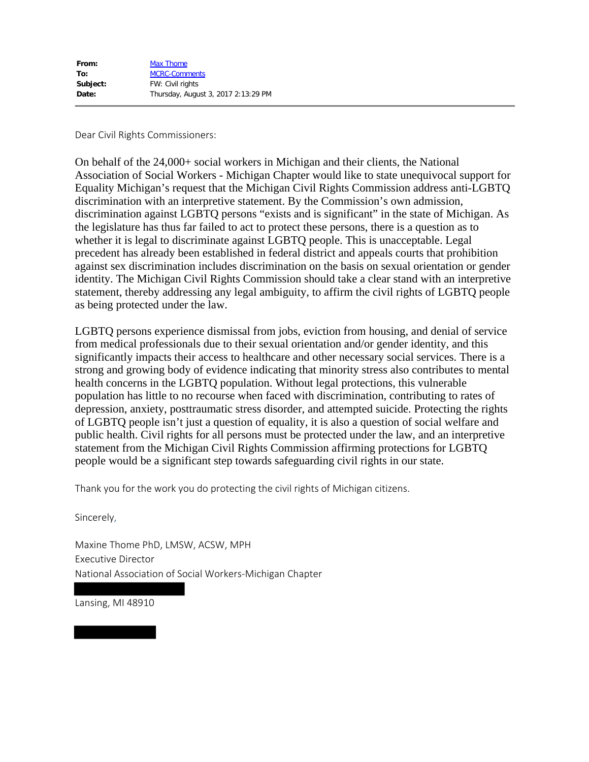Dear Civil Rights Commissioners:

On behalf of the 24,000+ social workers in Michigan and their clients, the National Association of Social Workers - Michigan Chapter would like to state unequivocal support for Equality Michigan's request that the Michigan Civil Rights Commission address anti-LGBTQ discrimination with an interpretive statement. By the Commission's own admission, discrimination against LGBTQ persons "exists and is significant" in the state of Michigan. As the legislature has thus far failed to act to protect these persons, there is a question as to whether it is legal to discriminate against LGBTQ people. This is unacceptable. Legal precedent has already been established in federal district and appeals courts that prohibition against sex discrimination includes discrimination on the basis on sexual orientation or gender identity. The Michigan Civil Rights Commission should take a clear stand with an interpretive statement, thereby addressing any legal ambiguity, to affirm the civil rights of LGBTQ people as being protected under the law.

LGBTQ persons experience dismissal from jobs, eviction from housing, and denial of service from medical professionals due to their sexual orientation and/or gender identity, and this significantly impacts their access to healthcare and other necessary social services. There is a strong and growing body of evidence indicating that minority stress also contributes to mental health concerns in the LGBTQ population. Without legal protections, this vulnerable population has little to no recourse when faced with discrimination, contributing to rates of depression, anxiety, posttraumatic stress disorder, and attempted suicide. Protecting the rights of LGBTQ people isn't just a question of equality, it is also a question of social welfare and public health. Civil rights for all persons must be protected under the law, and an interpretive statement from the Michigan Civil Rights Commission affirming protections for LGBTQ people would be a significant step towards safeguarding civil rights in our state.

Thank you for the work you do protecting the civil rights of Michigan citizens.

Sincerely,

Maxine Thome PhD, LMSW, ACSW, MPH Executive Director National Association of Social Workers-Michigan Chapter

Lansing, MI 48910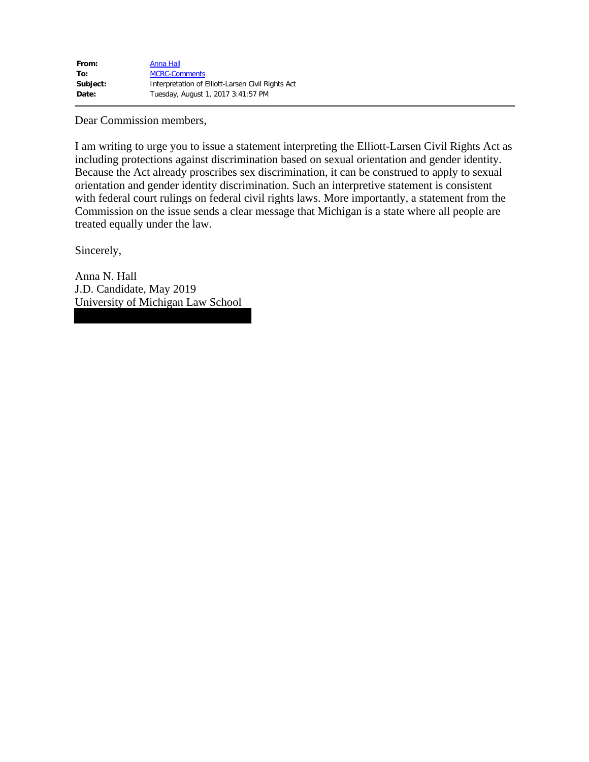| From:    | Anna Hall                                         |
|----------|---------------------------------------------------|
| To:      | <b>MCRC-Comments</b>                              |
| Subject: | Interpretation of Elliott-Larsen Civil Rights Act |
| Date:    | Tuesday, August 1, 2017 3:41:57 PM                |

Dear Commission members,

I am writing to urge you to issue a statement interpreting the Elliott-Larsen Civil Rights Act as including protections against discrimination based on sexual orientation and gender identity. Because the Act already proscribes sex discrimination, it can be construed to apply to sexual orientation and gender identity discrimination. Such an interpretive statement is consistent with federal court rulings on federal civil rights laws. More importantly, a statement from the Commission on the issue sends a clear message that Michigan is a state where all people are treated equally under the law.

Sincerely,

Anna N. Hall J.D. Candidate, May 2019 University of Michigan Law School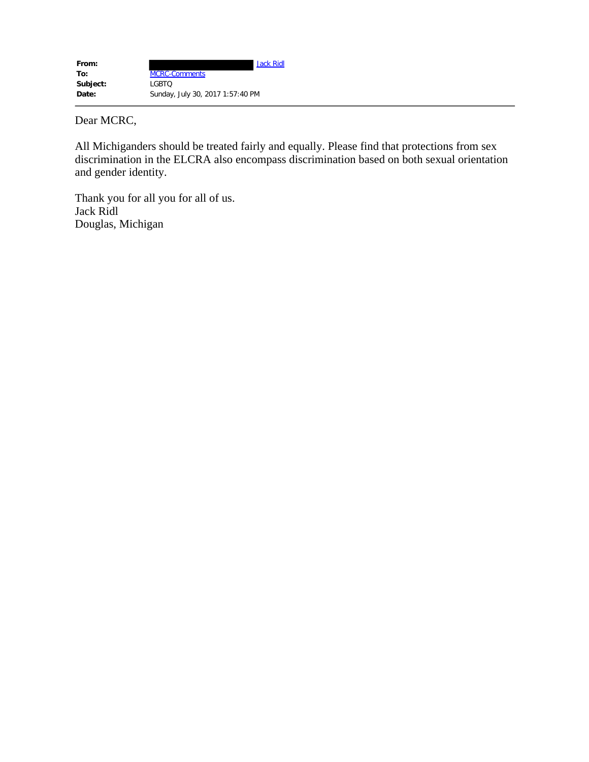| From:    | <b>Jack Ridl</b>                 |
|----------|----------------------------------|
| To:      | <b>MCRC-Comments</b>             |
| Subject: | LGBTO                            |
| Date:    | Sunday, July 30, 2017 1:57:40 PM |

Dear MCRC,

All Michiganders should be treated fairly and equally. Please find that protections from sex discrimination in the ELCRA also encompass discrimination based on both sexual orientation and gender identity.

Thank you for all you for all of us. Jack Ridl Douglas, Michigan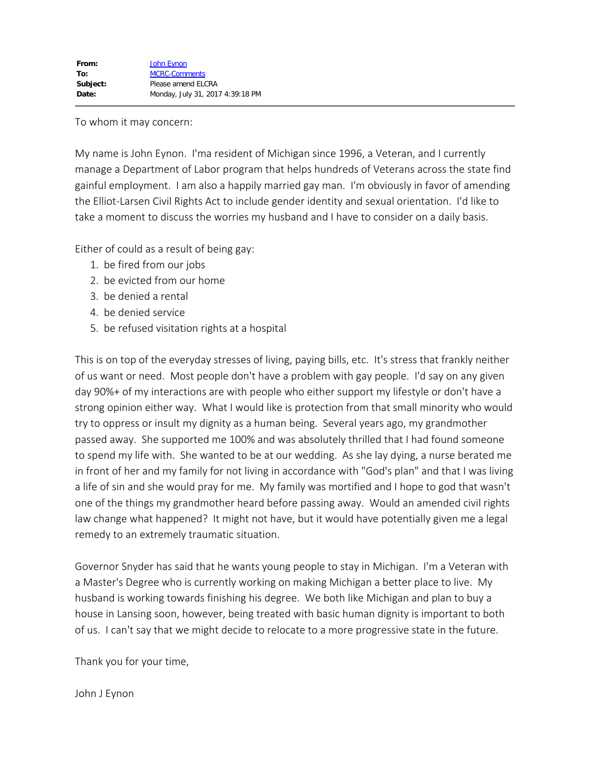## To whom it may concern:

My name is John Eynon. I'ma resident of Michigan since 1996, a Veteran, and I currently manage a Department of Labor program that helps hundreds of Veterans across the state find gainful employment. I am also a happily married gay man. I'm obviously in favor of amending the Elliot-Larsen Civil Rights Act to include gender identity and sexual orientation. I'd like to take a moment to discuss the worries my husband and I have to consider on a daily basis.

Either of could as a result of being gay:

- 1. be fired from our jobs
- 2. be evicted from our home
- 3. be denied a rental
- 4. be denied service
- 5. be refused visitation rights at a hospital

This is on top of the everyday stresses of living, paying bills, etc. It's stress that frankly neither of us want or need. Most people don't have a problem with gay people. I'd say on any given day 90%+ of my interactions are with people who either support my lifestyle or don't have a strong opinion either way. What I would like is protection from that small minority who would try to oppress or insult my dignity as a human being. Several years ago, my grandmother passed away. She supported me 100% and was absolutely thrilled that I had found someone to spend my life with. She wanted to be at our wedding. As she lay dying, a nurse berated me in front of her and my family for not living in accordance with "God's plan" and that I was living a life of sin and she would pray for me. My family was mortified and I hope to god that wasn't one of the things my grandmother heard before passing away. Would an amended civil rights law change what happened? It might not have, but it would have potentially given me a legal remedy to an extremely traumatic situation.

Governor Snyder has said that he wants young people to stay in Michigan. I'm a Veteran with a Master's Degree who is currently working on making Michigan a better place to live. My husband is working towards finishing his degree. We both like Michigan and plan to buy a house in Lansing soon, however, being treated with basic human dignity is important to both of us. I can't say that we might decide to relocate to a more progressive state in the future.

Thank you for your time,

John J Eynon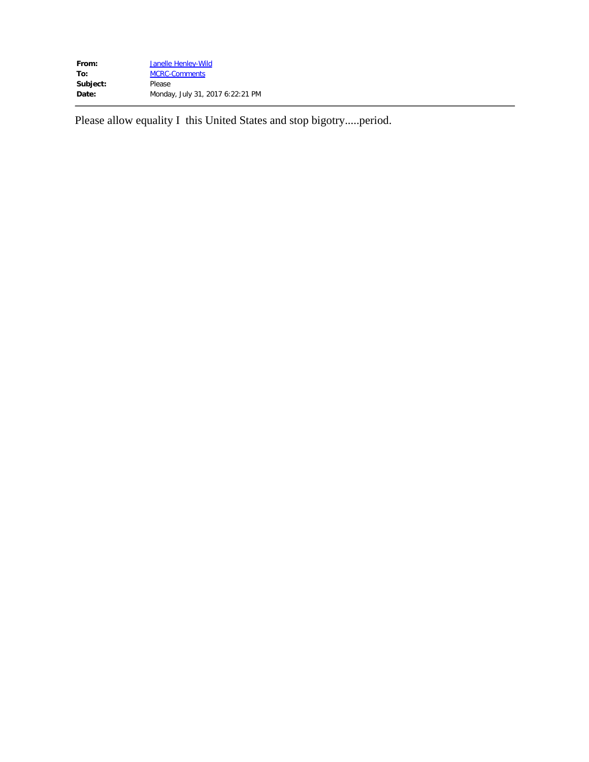| Janelle Henley-Wild              |
|----------------------------------|
| <b>MCRC-Comments</b>             |
| Please                           |
| Monday, July 31, 2017 6:22:21 PM |
|                                  |

Please allow equality I this United States and stop bigotry.....period.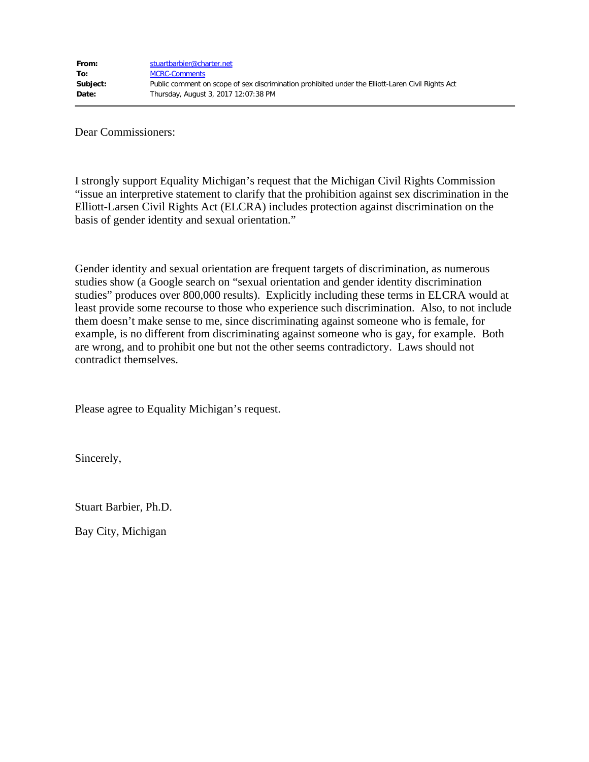Dear Commissioners:

I strongly support Equality Michigan's request that the Michigan Civil Rights Commission "issue an interpretive statement to clarify that the prohibition against sex discrimination in the Elliott-Larsen Civil Rights Act (ELCRA) includes protection against discrimination on the basis of gender identity and sexual orientation."

Gender identity and sexual orientation are frequent targets of discrimination, as numerous studies show (a Google search on "sexual orientation and gender identity discrimination studies" produces over 800,000 results). Explicitly including these terms in ELCRA would at least provide some recourse to those who experience such discrimination. Also, to not include them doesn't make sense to me, since discriminating against someone who is female, for example, is no different from discriminating against someone who is gay, for example. Both are wrong, and to prohibit one but not the other seems contradictory. Laws should not contradict themselves.

Please agree to Equality Michigan's request.

Sincerely,

Stuart Barbier, Ph.D.

Bay City, Michigan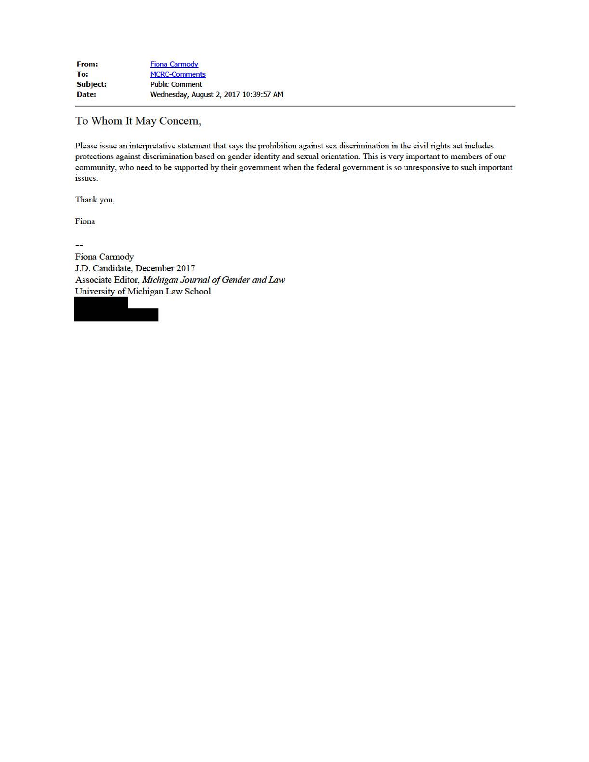## To Whom It May Concern,

Please issue an interpretative statement that says the prohibition against sex discrimination in the civil rights act includes protections against discrimination based on gender identity and sexual orientation. This is very important to members of our community, who need to be supported by their government when the federal government is so unresponsive to such important issues.

Thank you,

Fiona

 $\overline{1}$ 

Fiona Cannody J.D. Candidate, December 2017 Associate Editor, *Michigan Journal of Gender and* Law University of Michigan Law School

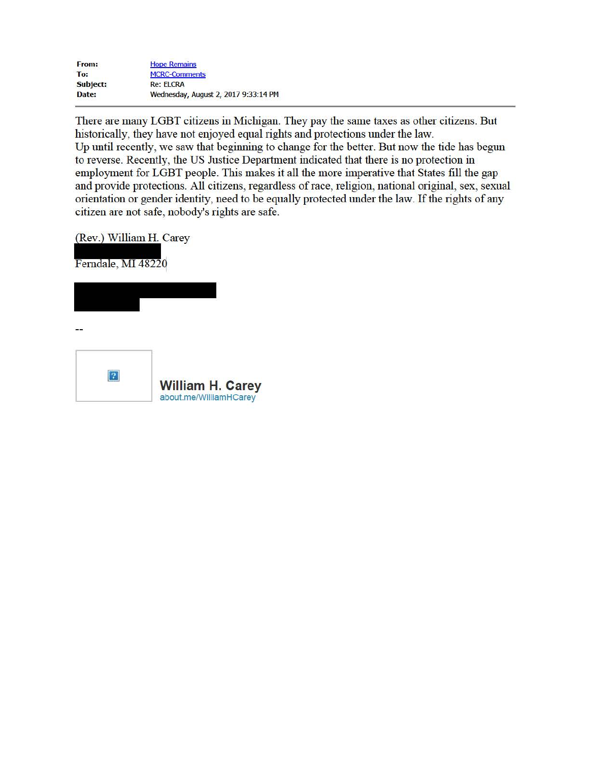| From:    | <b>Hope Remains</b>                  |
|----------|--------------------------------------|
| To:      | <b>MCRC-Comments</b>                 |
| Subject: | <b>Re: ELCRA</b>                     |
| Date:    | Wednesday, August 2, 2017 9:33:14 PM |

There are many LGBT citizens in Michigan. They pay the same taxes as other citizens. But historically, they have not enjoyed equal rights and protections under the law. Up until recently, we saw that beginning to change for the better. But now the tide has begun to reverse. Recently, the US Justice Department indicated that there is no protection in employment for LGBT people. This makes it all the more imperative that States fill the gap and provide protections. All citizens, regardless of race, religion, national original, sex, sexual orientation or gender identity, need to be equally protected under the law. If the rights of any citizen are not safe, nobody's rights are safe.

(Rev.) William H. Carey

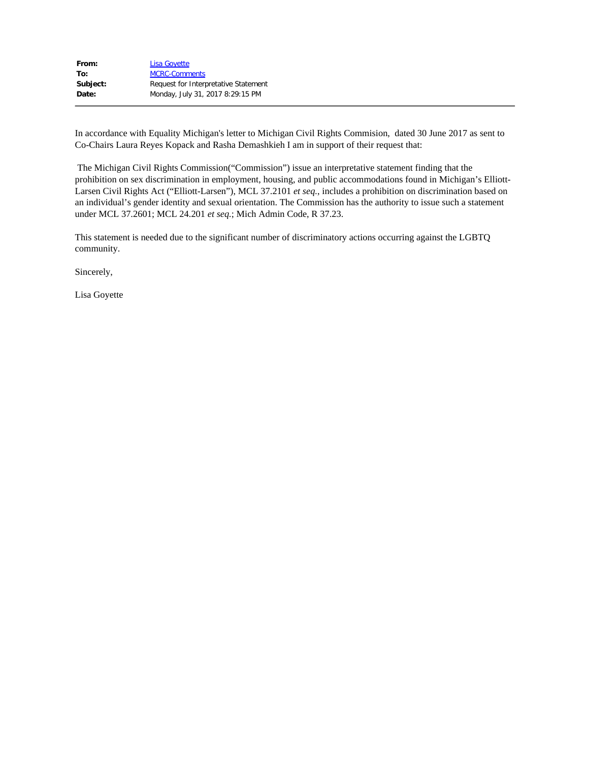| <b>Lisa Goyette</b>                  |
|--------------------------------------|
| <b>MCRC-Comments</b>                 |
| Request for Interpretative Statement |
| Monday, July 31, 2017 8:29:15 PM     |
|                                      |

In accordance with Equality Michigan's letter to Michigan Civil Rights Commision, dated 30 June 2017 as sent to Co-Chairs Laura Reyes Kopack and Rasha Demashkieh I am in support of their request that:

 The Michigan Civil Rights Commission("Commission") issue an interpretative statement finding that the prohibition on sex discrimination in employment, housing, and public accommodations found in Michigan's Elliot t-Larsen Civil Rights Act ("Elliott-Larsen"), MCL 37.2101 *et seq.*, includes a prohibition on discrimination based on an individual's gender identity and sexual orientation. The Commission has the authority to issue such a statement under MCL 37.2601; MCL 24.201 *et seq.*; Mich Admin Code, R 37.23.

This statement is needed due to the significant number of discriminatory actions occurring against the LGBTQ community.

Sincerely,

Lisa Goyette